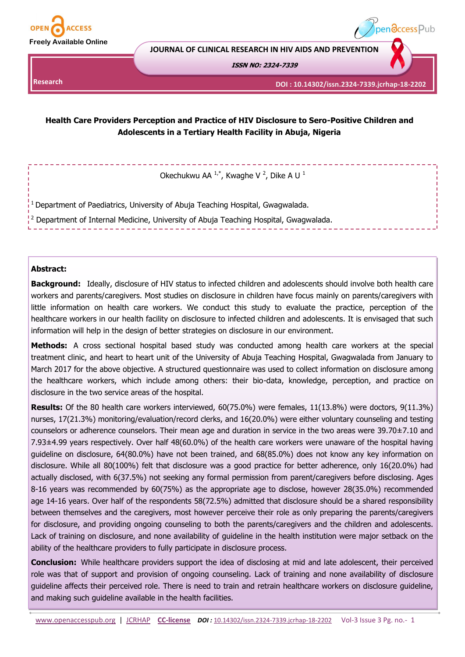

**Research** 

**JOURNAL OF CLINICAL RESEARCH IN HIV AIDS AND PREVENTION**

**ISSN NO: 2324-7339** 

**DOI : 10.14302/issn.2324-7339.jcrhap-18-2202**

pen**access** Pub

# **Health Care Providers Perception and Practice of HIV Disclosure to Sero-Positive Children and Adolescents in a Tertiary Health Facility in Abuja, Nigeria**

Okechukwu AA  $1,4$ , Kwaghe V  $^2$ , Dike A U  $^1$ 

<sup>1</sup>Department of Paediatrics, University of Abuja Teaching Hospital, Gwagwalada.

<sup>2</sup> Department of Internal Medicine, University of Abuja Teaching Hospital, Gwagwalada.

### **Abstract:**

**Background:** Ideally, disclosure of HIV status to infected children and adolescents should involve both health care workers and parents/caregivers. Most studies on disclosure in children have focus mainly on parents/caregivers with little information on health care workers. We conduct this study to evaluate the practice, perception of the healthcare workers in our health facility on disclosure to infected children and adolescents. It is envisaged that such information will help in the design of better strategies on disclosure in our environment.

**Methods:** A cross sectional hospital based study was conducted among health care workers at the special treatment clinic, and heart to heart unit of the University of Abuja Teaching Hospital, Gwagwalada from January to March 2017 for the above objective. A structured questionnaire was used to collect information on disclosure among the healthcare workers, which include among others: their bio-data, knowledge, perception, and practice on disclosure in the two service areas of the hospital.

**Results:** Of the 80 health care workers interviewed, 60(75.0%) were females, 11(13.8%) were doctors, 9(11.3%) nurses, 17(21.3%) monitoring/evaluation/record clerks, and 16(20.0%) were either voluntary counseling and testing counselors or adherence counselors. Their mean age and duration in service in the two areas were 39.70±7.10 and 7.93±4.99 years respectively. Over half 48(60.0%) of the health care workers were unaware of the hospital having guideline on disclosure, 64(80.0%) have not been trained, and 68(85.0%) does not know any key information on disclosure. While all 80(100%) felt that disclosure was a good practice for better adherence, only 16(20.0%) had actually disclosed, with 6(37.5%) not seeking any formal permission from parent/caregivers before disclosing. Ages 8-16 years was recommended by 60(75%) as the appropriate age to disclose, however 28(35.0%) recommended age 14-16 years. Over half of the respondents 58(72.5%) admitted that disclosure should be a shared responsibility between themselves and the caregivers, most however perceive their role as only preparing the parents/caregivers for disclosure, and providing ongoing counseling to both the parents/caregivers and the children and adolescents. Lack of training on disclosure, and none availability of guideline in the health institution were major setback on the ability of the healthcare providers to fully participate in disclosure process.

**Conclusion:** While healthcare providers support the idea of disclosing at mid and late adolescent, their perceived role was that of support and provision of ongoing counseling. Lack of training and none availability of disclosure guideline affects their perceived role. There is need to train and retrain healthcare workers on disclosure guideline, and making such guideline available in the health facilities.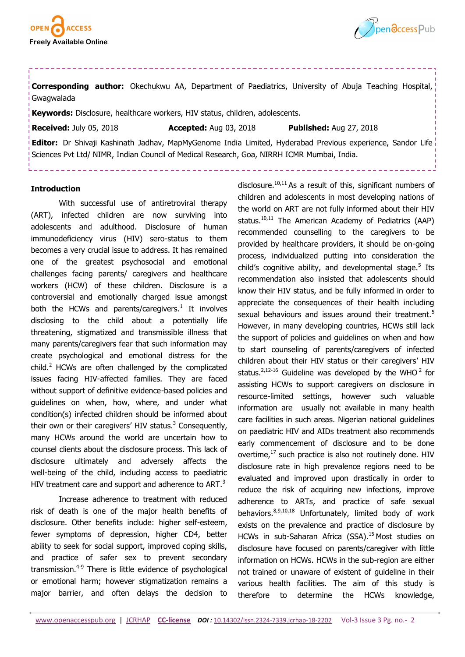



**Corresponding author:** Okechukwu AA, Department of Paediatrics, University of Abuja Teaching Hospital, Gwagwalada

**Keywords:** Disclosure, healthcare workers, HIV status, children, adolescents.

**Received:** July 05, 2018 **Accepted:** Aug 03, 2018 **Published:** Aug 27, 2018

**Editor:** Dr Shivaji Kashinath Jadhav, MapMyGenome India Limited, Hyderabad Previous experience, Sandor Life Sciences Pvt Ltd/ NIMR, Indian Council of Medical Research, Goa, NIRRH ICMR Mumbai, India.

#### **Introduction**

With successful use of antiretroviral therapy (ART), infected children are now surviving into adolescents and adulthood. Disclosure of human immunodeficiency virus (HIV) sero-status to them becomes a very crucial issue to address. It has remained one of the greatest psychosocial and emotional challenges facing parents/ caregivers and healthcare workers (HCW) of these children. Disclosure is a controversial and emotionally charged issue amongst both the HCWs and parents/caregivers.<sup>1</sup> It involves disclosing to the child about a potentially life threatening, stigmatized and transmissible illness that many parents/caregivers fear that such information may create psychological and emotional distress for the child. $<sup>2</sup>$  HCWs are often challenged by the complicated</sup> issues facing HIV-affected families. They are faced without support of definitive evidence-based policies and guidelines on when, how, where, and under what condition(s) infected children should be informed about their own or their caregivers' HIV status. $3$  Consequently, many HCWs around the world are uncertain how to counsel clients about the disclosure process. This lack of disclosure ultimately and adversely affects the well-being of the child, including access to paediatric HIV treatment care and support and adherence to ART.<sup>3</sup>

Increase adherence to treatment with reduced risk of death is one of the major health benefits of disclosure. Other benefits include: higher self-esteem, fewer symptoms of depression, higher CD4, better ability to seek for social support, improved coping skills, and practice of safer sex to prevent secondary transmission.<sup>4-9</sup> There is little evidence of psychological or emotional harm; however stigmatization remains a major barrier, and often delays the decision to

disclosure.<sup>10,11</sup> As a result of this, significant numbers of children and adolescents in most developing nations of the world on ART are not fully informed about their HIV status.<sup>10,11</sup> The American Academy of Pediatrics (AAP) recommended counselling to the caregivers to be provided by healthcare providers, it should be on-going process, individualized putting into consideration the child's cognitive ability, and developmental stage.<sup>5</sup> Its recommendation also insisted that adolescents should know their HIV status, and be fully informed in order to appreciate the consequences of their health including sexual behaviours and issues around their treatment.<sup>5</sup> However, in many developing countries, HCWs still lack the support of policies and guidelines on when and how to start counseling of parents/caregivers of infected children about their HIV status or their caregivers' HIV status.<sup>2,12-16</sup> Guideline was developed by the WHO<sup>2</sup> for assisting HCWs to support caregivers on disclosure in resource-limited settings, however such valuable information are usually not available in many health care facilities in such areas. Nigerian national guidelines on paediatric HIV and AIDs treatment also recommends early commencement of disclosure and to be done overtime, $17$  such practice is also not routinely done. HIV disclosure rate in high prevalence regions need to be evaluated and improved upon drastically in order to reduce the risk of acquiring new infections, improve adherence to ARTs, and practice of safe sexual behaviors.8,9,10,18 Unfortunately, limited body of work exists on the prevalence and practice of disclosure by HCWs in sub-Saharan Africa (SSA).<sup>15</sup> Most studies on disclosure have focused on parents/caregiver with little information on HCWs. HCWs in the sub-region are either not trained or unaware of existent of guideline in their various health facilities. The aim of this study is therefore to determine the HCWs knowledge,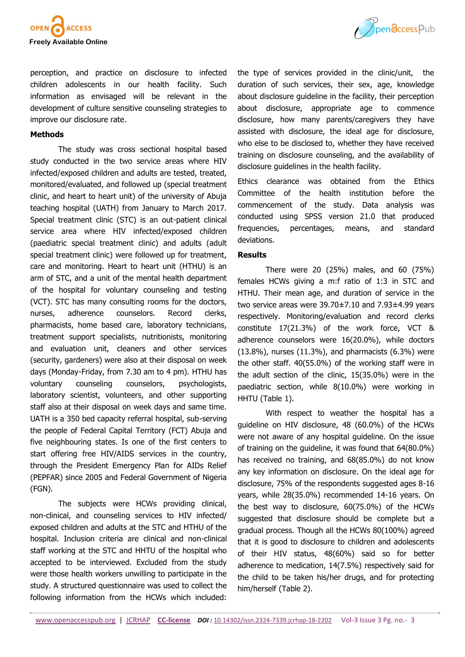



perception, and practice on disclosure to infected children adolescents in our health facility. Such information as envisaged will be relevant in the development of culture sensitive counseling strategies to improve our disclosure rate.

## **Methods**

The study was cross sectional hospital based study conducted in the two service areas where HIV infected/exposed children and adults are tested, treated, monitored/evaluated, and followed up (special treatment clinic, and heart to heart unit) of the university of Abuja teaching hospital (UATH) from January to March 2017. Special treatment clinic (STC) is an out-patient clinical service area where HIV infected/exposed children (paediatric special treatment clinic) and adults (adult special treatment clinic) were followed up for treatment, care and monitoring. Heart to heart unit (HTHU) is an arm of STC, and a unit of the mental health department of the hospital for voluntary counseling and testing (VCT). STC has many consulting rooms for the doctors, nurses, adherence counselors. Record clerks, pharmacists, home based care, laboratory technicians, treatment support specialists, nutritionists, monitoring and evaluation unit, cleaners and other services (security, gardeners) were also at their disposal on week days (Monday-Friday, from 7.30 am to 4 pm). HTHU has voluntary counseling counselors, psychologists, laboratory scientist, volunteers, and other supporting staff also at their disposal on week days and same time. UATH is a 350 bed capacity referral hospital, sub-serving the people of Federal Capital Territory (FCT) Abuja and five neighbouring states. Is one of the first centers to start offering free HIV/AIDS services in the country, through the President Emergency Plan for AIDs Relief (PEPFAR) since 2005 and Federal Government of Nigeria (FGN).

The subjects were HCWs providing clinical, non-clinical, and counseling services to HIV infected/ exposed children and adults at the STC and HTHU of the hospital. Inclusion criteria are clinical and non-clinical staff working at the STC and HHTU of the hospital who accepted to be interviewed. Excluded from the study were those health workers unwilling to participate in the study. A structured questionnaire was used to collect the following information from the HCWs which included:

the type of services provided in the clinic/unit, the duration of such services, their sex, age, knowledge about disclosure guideline in the facility, their perception about disclosure, appropriate age to commence disclosure, how many parents/caregivers they have assisted with disclosure, the ideal age for disclosure, who else to be disclosed to, whether they have received training on disclosure counseling, and the availability of disclosure guidelines in the health facility.

Ethics clearance was obtained from the Ethics Committee of the health institution before the commencement of the study. Data analysis was conducted using SPSS version 21.0 that produced frequencies, percentages, means, and standard deviations.

### **Results**

There were 20 (25%) males, and 60 (75%) females HCWs giving a m:f ratio of 1:3 in STC and HTHU. Their mean age, and duration of service in the two service areas were 39.70±7.10 and 7.93±4.99 years respectively. Monitoring/evaluation and record clerks constitute 17(21.3%) of the work force, VCT & adherence counselors were 16(20.0%), while doctors (13.8%), nurses (11.3%), and pharmacists (6.3%) were the other staff. 40(55.0%) of the working staff were in the adult section of the clinic, 15(35.0%) were in the paediatric section, while 8(10.0%) were working in HHTU (Table 1).

With respect to weather the hospital has a guideline on HIV disclosure, 48 (60.0%) of the HCWs were not aware of any hospital guideline. On the issue of training on the guideline, it was found that 64(80.0%) has received no training, and 68(85.0%) do not know any key information on disclosure. On the ideal age for disclosure, 75% of the respondents suggested ages 8-16 years, while 28(35.0%) recommended 14-16 years. On the best way to disclosure, 60(75.0%) of the HCWs suggested that disclosure should be complete but a gradual process. Though all the HCWs 80(100%) agreed that it is good to disclosure to children and adolescents of their HIV status, 48(60%) said so for better adherence to medication, 14(7.5%) respectively said for the child to be taken his/her drugs, and for protecting him/herself (Table 2).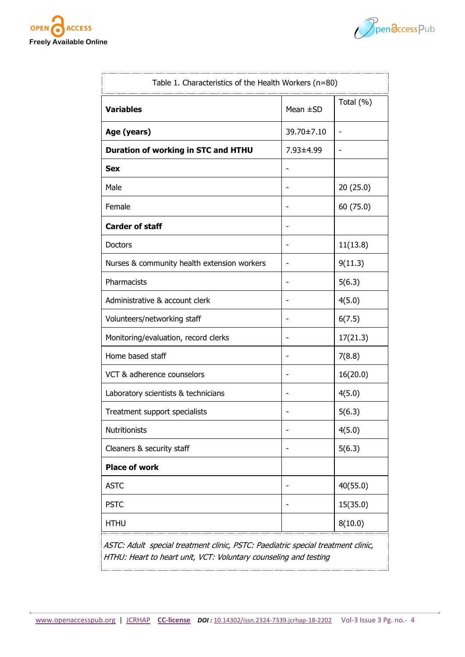



| Table 1. Characteristics of the Health Workers (n=80)                                                                                                |               |           |  |
|------------------------------------------------------------------------------------------------------------------------------------------------------|---------------|-----------|--|
| <b>Variables</b>                                                                                                                                     | Mean $\pm$ SD | Total (%) |  |
| Age (years)                                                                                                                                          | 39.70±7.10    |           |  |
| Duration of working in STC and HTHU                                                                                                                  | 7.93±4.99     |           |  |
| <b>Sex</b>                                                                                                                                           |               |           |  |
| Male                                                                                                                                                 |               | 20(25.0)  |  |
| Female                                                                                                                                               | -             | 60 (75.0) |  |
| <b>Carder of staff</b>                                                                                                                               |               |           |  |
| <b>Doctors</b>                                                                                                                                       |               | 11(13.8)  |  |
| Nurses & community health extension workers                                                                                                          |               | 9(11.3)   |  |
| Pharmacists                                                                                                                                          | ۰             | 5(6.3)    |  |
| Administrative & account clerk                                                                                                                       | -             | 4(5.0)    |  |
| Volunteers/networking staff                                                                                                                          | ۰             | 6(7.5)    |  |
| Monitoring/evaluation, record clerks                                                                                                                 |               | 17(21.3)  |  |
| Home based staff                                                                                                                                     |               | 7(8.8)    |  |
| VCT & adherence counselors                                                                                                                           |               | 16(20.0)  |  |
| Laboratory scientists & technicians                                                                                                                  |               | 4(5.0)    |  |
| Treatment support specialists                                                                                                                        |               | 5(6.3)    |  |
| <b>Nutritionists</b>                                                                                                                                 |               | 4(5.0)    |  |
| Cleaners & security staff                                                                                                                            |               | 5(6.3)    |  |
| <b>Place of work</b>                                                                                                                                 |               |           |  |
| <b>ASTC</b>                                                                                                                                          |               | 40(55.0)  |  |
| <b>PSTC</b>                                                                                                                                          |               | 15(35.0)  |  |
| <b>HTHU</b>                                                                                                                                          |               | 8(10.0)   |  |
| ASTC: Adult special treatment clinic, PSTC: Paediatric special treatment clinic,<br>HTHU: Heart to heart unit, VCT: Voluntary counseling and testing |               |           |  |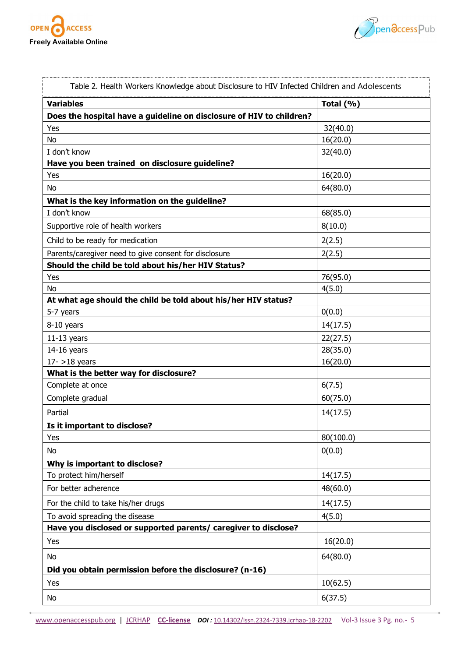



| Table 2. Health Workers Knowledge about Disclosure to HIV Infected Children and Adolescents |           |  |  |
|---------------------------------------------------------------------------------------------|-----------|--|--|
| <b>Variables</b>                                                                            | Total (%) |  |  |
| Does the hospital have a guideline on disclosure of HIV to children?                        |           |  |  |
| Yes                                                                                         | 32(40.0)  |  |  |
| <b>No</b>                                                                                   | 16(20.0)  |  |  |
| I don't know                                                                                | 32(40.0)  |  |  |
| Have you been trained on disclosure guideline?                                              |           |  |  |
| Yes                                                                                         | 16(20.0)  |  |  |
| No                                                                                          | 64(80.0)  |  |  |
| What is the key information on the guideline?                                               |           |  |  |
| I don't know                                                                                | 68(85.0)  |  |  |
| Supportive role of health workers                                                           | 8(10.0)   |  |  |
| Child to be ready for medication                                                            | 2(2.5)    |  |  |
| Parents/caregiver need to give consent for disclosure                                       | 2(2.5)    |  |  |
| Should the child be told about his/her HIV Status?                                          |           |  |  |
| Yes                                                                                         | 76(95.0)  |  |  |
| <b>No</b>                                                                                   | 4(5.0)    |  |  |
| At what age should the child be told about his/her HIV status?                              |           |  |  |
| 5-7 years                                                                                   | 0(0.0)    |  |  |
| 8-10 years                                                                                  | 14(17.5)  |  |  |
| $11-13$ years                                                                               | 22(27.5)  |  |  |
| $14-16$ years                                                                               | 28(35.0)  |  |  |
| $17 - 18$ years                                                                             | 16(20.0)  |  |  |
| What is the better way for disclosure?                                                      |           |  |  |
| Complete at once                                                                            | 6(7.5)    |  |  |
| Complete gradual                                                                            | 60(75.0)  |  |  |
| Partial                                                                                     | 14(17.5)  |  |  |
| Is it important to disclose?                                                                |           |  |  |
| Yes                                                                                         | 80(100.0) |  |  |
| No                                                                                          | 0(0.0)    |  |  |
| Why is important to disclose?                                                               |           |  |  |
| To protect him/herself                                                                      | 14(17.5)  |  |  |
| For better adherence                                                                        | 48(60.0)  |  |  |
| For the child to take his/her drugs                                                         | 14(17.5)  |  |  |
| To avoid spreading the disease                                                              | 4(5.0)    |  |  |
| Have you disclosed or supported parents/ caregiver to disclose?                             |           |  |  |
| Yes                                                                                         | 16(20.0)  |  |  |
| No                                                                                          | 64(80.0)  |  |  |
| Did you obtain permission before the disclosure? (n-16)                                     |           |  |  |
| Yes                                                                                         | 10(62.5)  |  |  |
| No                                                                                          | 6(37.5)   |  |  |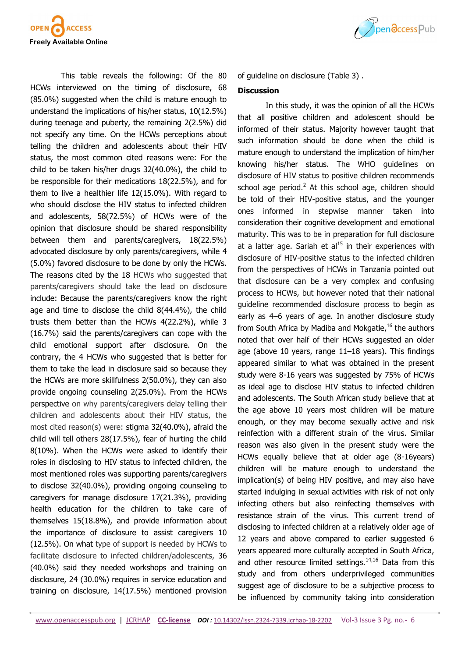

This table reveals the following: Of the 80 HCWs interviewed on the timing of disclosure, 68 (85.0%) suggested when the child is mature enough to understand the implications of his/her status, 10(12.5%) during teenage and puberty, the remaining 2(2.5%) did not specify any time. On the HCWs perceptions about telling the children and adolescents about their HIV status, the most common cited reasons were: For the child to be taken his/her drugs 32(40.0%), the child to be responsible for their medications 18(22.5%), and for them to live a healthier life 12(15.0%). With regard to who should disclose the HIV status to infected children and adolescents, 58(72.5%) of HCWs were of the opinion that disclosure should be shared responsibility between them and parents/caregivers, 18(22.5%) advocated disclosure by only parents/caregivers, while 4 (5.0%) favored disclosure to be done by only the HCWs. The reasons cited by the 18 HCWs who suggested that parents/caregivers should take the lead on disclosure include: Because the parents/caregivers know the right age and time to disclose the child 8(44.4%), the child trusts them better than the HCWs 4(22.2%), while 3 (16.7%) said the parents/caregivers can cope with the child emotional support after disclosure. On the contrary, the 4 HCWs who suggested that is better for them to take the lead in disclosure said so because they the HCWs are more skillfulness 2(50.0%), they can also provide ongoing counseling 2(25.0%). From the HCWs perspective on why parents/caregivers delay telling their children and adolescents about their HIV status, the most cited reason(s) were: stigma 32(40.0%), afraid the child will tell others 28(17.5%), fear of hurting the child 8(10%). When the HCWs were asked to identify their roles in disclosing to HIV status to infected children, the most mentioned roles was supporting parents/caregivers to disclose 32(40.0%), providing ongoing counseling to caregivers for manage disclosure 17(21.3%), providing health education for the children to take care of themselves 15(18.8%), and provide information about the importance of disclosure to assist caregivers 10 (12.5%). On what type of support is needed by HCWs to facilitate disclosure to infected children/adolescents, 36 (40.0%) said they needed workshops and training on disclosure, 24 (30.0%) requires in service education and training on disclosure, 14(17.5%) mentioned provision



of guideline on disclosure (Table 3) .

#### **Discussion**

In this study, it was the opinion of all the HCWs that all positive children and adolescent should be informed of their status. Majority however taught that such information should be done when the child is mature enough to understand the implication of him/her knowing his/her status. The WHO guidelines on disclosure of HIV status to positive children recommends school age period.<sup>2</sup> At this school age, children should be told of their HIV-positive status, and the younger ones informed in stepwise manner taken into consideration their cognitive development and emotional maturity. This was to be in preparation for full disclosure at a latter age. Sariah et  $al<sup>15</sup>$  in their experiences with disclosure of HIV-positive status to the infected children from the perspectives of HCWs in Tanzania pointed out that disclosure can be a very complex and confusing process to HCWs, but however noted that their national guideline recommended disclosure process to begin as early as 4–6 years of age. In another disclosure study from South Africa by Madiba and Mokgatle,<sup>16</sup> the authors noted that over half of their HCWs suggested an older age (above 10 years, range 11–18 years). This findings appeared similar to what was obtained in the present study were 8-16 years was suggested by 75% of HCWs as ideal age to disclose HIV status to infected children and adolescents. The South African study believe that at the age above 10 years most children will be mature enough, or they may become sexually active and risk reinfection with a different strain of the virus. Similar reason was also given in the present study were the HCWs equally believe that at older age (8-16years) children will be mature enough to understand the implication(s) of being HIV positive, and may also have started indulging in sexual activities with risk of not only infecting others but also reinfecting themselves with resistance strain of the virus. This current trend of disclosing to infected children at a relatively older age of 12 years and above compared to earlier suggested 6 years appeared more culturally accepted in South Africa, and other resource limited settings. $14,16$  Data from this study and from others underprivileged communities suggest age of disclosure to be a subjective process to be influenced by community taking into consideration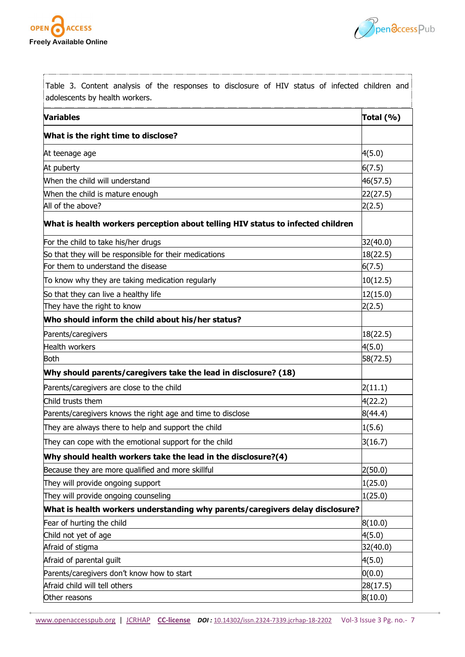



| Table 3. Content analysis of the responses to disclosure of HIV status of infected children and<br>adolescents by health workers. |           |  |
|-----------------------------------------------------------------------------------------------------------------------------------|-----------|--|
| <b>Variables</b>                                                                                                                  | Total (%) |  |
| What is the right time to disclose?                                                                                               |           |  |
| At teenage age                                                                                                                    | 4(5.0)    |  |
| At puberty                                                                                                                        | 6(7.5)    |  |
| When the child will understand                                                                                                    | 46(57.5)  |  |
| When the child is mature enough                                                                                                   | 22(27.5)  |  |
| All of the above?                                                                                                                 | 2(2.5)    |  |
| What is health workers perception about telling HIV status to infected children                                                   |           |  |
| For the child to take his/her drugs                                                                                               | 32(40.0)  |  |
| So that they will be responsible for their medications                                                                            | 18(22.5)  |  |
| For them to understand the disease                                                                                                | 6(7.5)    |  |
| To know why they are taking medication regularly                                                                                  | 10(12.5)  |  |
| So that they can live a healthy life                                                                                              | 12(15.0)  |  |
| They have the right to know                                                                                                       | 2(2.5)    |  |
| Who should inform the child about his/her status?                                                                                 |           |  |
| Parents/caregivers                                                                                                                | 18(22.5)  |  |
| <b>Health workers</b>                                                                                                             | 4(5.0)    |  |
| <b>Both</b>                                                                                                                       | 58(72.5)  |  |
| Why should parents/caregivers take the lead in disclosure? (18)                                                                   |           |  |
| Parents/caregivers are close to the child                                                                                         | 2(11.1)   |  |
| Child trusts them                                                                                                                 | 4(22.2)   |  |
| Parents/caregivers knows the right age and time to disclose                                                                       | 8(44.4)   |  |
| They are always there to help and support the child                                                                               | 1(5.6)    |  |
| They can cope with the emotional support for the child                                                                            | 3(16.7)   |  |
| Why should health workers take the lead in the disclosure?(4)                                                                     |           |  |
| Because they are more qualified and more skillful                                                                                 | 2(50.0)   |  |
| They will provide ongoing support                                                                                                 | 1(25.0)   |  |
| They will provide ongoing counseling                                                                                              | 1(25.0)   |  |
| What is health workers understanding why parents/caregivers delay disclosure?                                                     |           |  |
| Fear of hurting the child                                                                                                         | 8(10.0)   |  |
| Child not yet of age                                                                                                              | 4(5.0)    |  |
| Afraid of stigma                                                                                                                  | 32(40.0)  |  |
| Afraid of parental guilt                                                                                                          | 4(5.0)    |  |
| Parents/caregivers don't know how to start                                                                                        | 0(0.0)    |  |
| Afraid child will tell others                                                                                                     | 28(17.5)  |  |
| Other reasons                                                                                                                     | 8(10.0)   |  |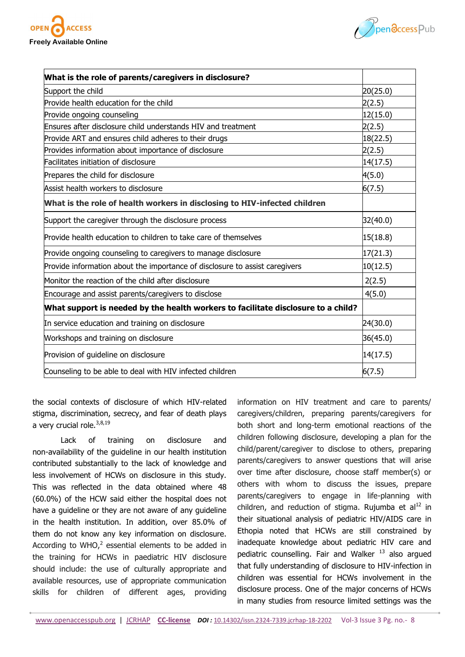



| What is the role of parents/caregivers in disclosure?                             |          |
|-----------------------------------------------------------------------------------|----------|
| Support the child                                                                 | 20(25.0) |
| Provide health education for the child                                            | 2(2.5)   |
| Provide ongoing counseling                                                        | 12(15.0) |
| Ensures after disclosure child understands HIV and treatment                      | 2(2.5)   |
| Provide ART and ensures child adheres to their drugs                              | 18(22.5) |
| Provides information about importance of disclosure                               | 2(2.5)   |
| Facilitates initiation of disclosure                                              | 14(17.5) |
| Prepares the child for disclosure                                                 | 4(5.0)   |
| Assist health workers to disclosure                                               | 6(7.5)   |
| What is the role of health workers in disclosing to HIV-infected children         |          |
| Support the caregiver through the disclosure process                              | 32(40.0) |
| Provide health education to children to take care of themselves                   | 15(18.8) |
| Provide ongoing counseling to caregivers to manage disclosure                     | 17(21.3) |
| Provide information about the importance of disclosure to assist caregivers       | 10(12.5) |
| Monitor the reaction of the child after disclosure                                | 2(2.5)   |
| Encourage and assist parents/caregivers to disclose                               | 4(5.0)   |
| What support is needed by the health workers to facilitate disclosure to a child? |          |
| In service education and training on disclosure                                   | 24(30.0) |
| Workshops and training on disclosure                                              | 36(45.0) |
| Provision of guideline on disclosure                                              | 14(17.5) |
| Counseling to be able to deal with HIV infected children                          | 6(7.5)   |

the social contexts of disclosure of which HIV-related stigma, discrimination, secrecy, and fear of death plays a very crucial role. $^{3,8,19}$ 

Lack of training on disclosure and non-availability of the guideline in our health institution contributed substantially to the lack of knowledge and less involvement of HCWs on disclosure in this study. This was reflected in the data obtained where 48 (60.0%) of the HCW said either the hospital does not have a guideline or they are not aware of any guideline in the health institution. In addition, over 85.0% of them do not know any key information on disclosure. According to WHO, $^2$  essential elements to be added in the training for HCWs in paediatric HIV disclosure should include: the use of culturally appropriate and available resources, use of appropriate communication skills for children of different ages, providing

information on HIV treatment and care to parents/ caregivers/children, preparing parents/caregivers for both short and long-term emotional reactions of the children following disclosure, developing a plan for the child/parent/caregiver to disclose to others, preparing parents/caregivers to answer questions that will arise over time after disclosure, choose staff member(s) or others with whom to discuss the issues, prepare parents/caregivers to engage in life-planning with children, and reduction of stigma. Rujumba et al $^{12}$  in their situational analysis of pediatric HIV/AIDS care in Ethopia noted that HCWs are still constrained by inadequate knowledge about pediatric HIV care and pediatric counselling. Fair and Walker<sup>13</sup> also arqued that fully understanding of disclosure to HIV-infection in children was essential for HCWs involvement in the disclosure process. One of the major concerns of HCWs in many studies from resource limited settings was the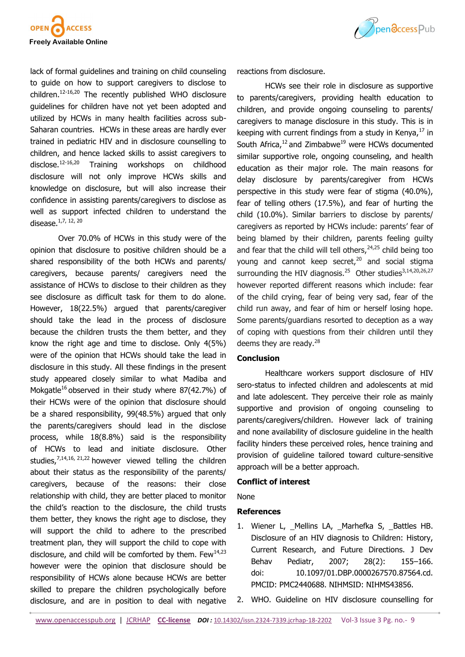

lack of formal guidelines and training on child counseling to guide on how to support caregivers to disclose to children. $12-16,20$  The recently published WHO disclosure guidelines for children have not yet been adopted and utilized by HCWs in many health facilities across sub-Saharan countries. HCWs in these areas are hardly ever trained in pediatric HIV and in disclosure counselling to children, and hence lacked skills to assist caregivers to disclose.<sup>12</sup>-16,20 Training workshops on childhood disclosure will not only improve HCWs skills and knowledge on disclosure, but will also increase their confidence in assisting parents/caregivers to disclose as well as support infected children to understand the disease.1,7, 12, 20

Over 70.0% of HCWs in this study were of the opinion that disclosure to positive children should be a shared responsibility of the both HCWs and parents/ caregivers, because parents/ caregivers need the assistance of HCWs to disclose to their children as they see disclosure as difficult task for them to do alone. However, 18(22.5%) argued that parents/caregiver should take the lead in the process of disclosure because the children trusts the them better, and they know the right age and time to disclose. Only 4(5%) were of the opinion that HCWs should take the lead in disclosure in this study. All these findings in the present study appeared closely similar to what Madiba and Mokgatle<sup>16</sup> observed in their study where  $87(42.7%)$  of their HCWs were of the opinion that disclosure should be a shared responsibility, 99(48.5%) argued that only the parents/caregivers should lead in the disclose process, while 18(8.8%) said is the responsibility of HCWs to lead and initiate disclosure. Other studies,  $7,14,16,21,22$  however viewed telling the children about their status as the responsibility of the parents/ caregivers, because of the reasons: their close relationship with child, they are better placed to monitor the child's reaction to the disclosure, the child trusts them better, they knows the right age to disclose, they will support the child to adhere to the prescribed treatment plan, they will support the child to cope with disclosure, and child will be comforted by them. Few $^{14,23}$ however were the opinion that disclosure should be responsibility of HCWs alone because HCWs are better skilled to prepare the children psychologically before disclosure, and are in position to deal with negative



reactions from disclosure.

HCWs see their role in disclosure as supportive to parents/caregivers, providing health education to children, and provide ongoing counseling to parents/ caregivers to manage disclosure in this study. This is in keeping with current findings from a study in Kenya, $^{17}$  in South Africa, $^{12}$  and Zimbabwe<sup>19</sup> were HCWs documented similar supportive role, ongoing counseling, and health education as their major role. The main reasons for delay disclosure by parents/caregiver from HCWs perspective in this study were fear of stigma (40.0%), fear of telling others (17.5%), and fear of hurting the child (10.0%). Similar barriers to disclose by parents/ caregivers as reported by HCWs include: parents' fear of being blamed by their children, parents feeling guilty and fear that the child will tell others,  $24,25$  child being too young and cannot keep secret.<sup>20</sup> and social stigma surrounding the HIV diagnosis. $^{25}$  Other studies<sup>3,14,20,26,27</sup> however reported different reasons which include: fear of the child crying, fear of being very sad, fear of the child run away, and fear of him or herself losing hope. Some parents/guardians resorted to deception as a way of coping with questions from their children until they deems they are ready. $^{28}$ 

## **Conclusion**

Healthcare workers support disclosure of HIV sero-status to infected children and adolescents at mid and late adolescent. They perceive their role as mainly supportive and provision of ongoing counseling to parents/caregivers/children. However lack of training and none availability of disclosure guideline in the health facility hinders these perceived roles, hence training and provision of guideline tailored toward culture-sensitive approach will be a better approach.

#### **Conflict of interest**

None

#### **References**

- 1. [Wiener](http://www.ncbi.nlm.nih.gov/pubmed/?term=Wiener%20L%5Bauth%5D) L, \_[Mellins L](http://www.ncbi.nlm.nih.gov/pubmed/?term=Mellins%20CA%5Bauth%5D)A, \_[Marhefka](http://www.ncbi.nlm.nih.gov/pubmed/?term=Marhefka%20S%5Bauth%5D) S, \_[Battles H](http://www.ncbi.nlm.nih.gov/pubmed/?term=Battles%20HB%5Bauth%5D)B. Disclosure of an HIV diagnosis to Children: History, Current Research, and Future Directions. [J Dev](http://www.ncbi.nlm.nih.gov/entrez/eutils/elink.fcgi?dbfrom=pubmed&retmode=ref&cmd=prlinks&id=17435473)  [Behav Pediatr, 2007; 28\(2\):](http://www.ncbi.nlm.nih.gov/entrez/eutils/elink.fcgi?dbfrom=pubmed&retmode=ref&cmd=prlinks&id=17435473) 155–166. doi: [10.1097/01.DBP.0000267570.87564.cd.](http://dx.doi.org/10.1097%2F01.DBP.0000267570.87564.cd)  PMCID: PMC2440688. NIHMSID: NIHMS43856.
- 2. WHO. Guideline on HIV disclosure counselling for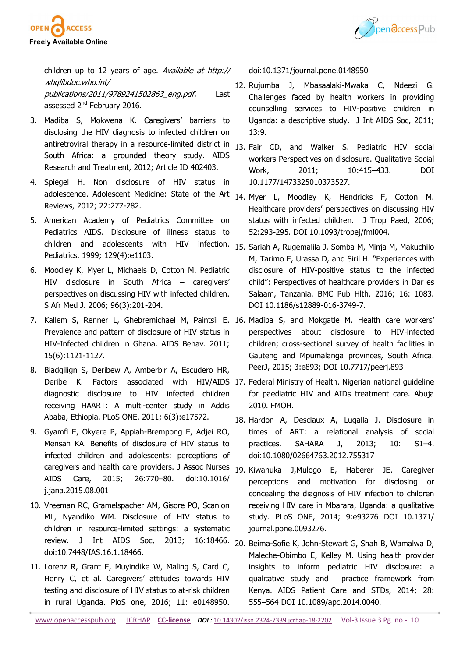



children up to 12 years of age. Available at [http://](http://whqlibdoc.who.int/publications/2011/9789241502863_eng.pdf) [whqlibdoc.who.int/](http://whqlibdoc.who.int/publications/2011/9789241502863_eng.pdf) [publications/2011/9789241502863\\_eng.pdf.](http://whqlibdoc.who.int/publications/2011/9789241502863_eng.pdf) Last assessed 2<sup>nd</sup> February 2016.

- 3. Madiba S, Mokwena K. Caregivers' [barriers to](https://dx.doi.org/10.1155%2F2012%2F402403)  [disclosing the HIV diagnosis to infected children on](https://dx.doi.org/10.1155%2F2012%2F402403)  [antiretroviral therapy in a resource](https://dx.doi.org/10.1155%2F2012%2F402403)-limited district in [South Africa: a grounded theory study.](https://dx.doi.org/10.1155%2F2012%2F402403) AIDS Research and Treatment, 2012; Article ID 402403.
- 4. Spiegel H. [Non disclosure of HIV status in](https://scholar.google.com/scholar_lookup?title=Nondisclosure%20of%20HIV%20status%20in%20adolescence&author=Spiegel&publication_year=2011)  [adolescence](https://scholar.google.com/scholar_lookup?title=Nondisclosure%20of%20HIV%20status%20in%20adolescence&author=Spiegel&publication_year=2011). Adolescent Medicine: State of the Art 14. Myer L, Moodley K, Hendricks F, Cotton M. Reviews, 2012; 22:277-282.
- 5. American Academy of Pediatrics Committee on Pediatrics AIDS. Disclosure of illness status to children and adolescents with HIV Pediatrics. 1999; 129(4):e1103.
- 6. Moodley K, Myer L, Michaels D, Cotton M. Pediatric HIV disclosure in South Africa – caregivers' perspectives on discussing HIV with infected children. S Afr Med J. 2006; 96(3):201-204.
- 7. Kallem S, Renner L, Ghebremichael M, Paintsil E. 16. Madiba S, and Mokgatle M. Health care workers' Prevalence and pattern of disclosure of HIV status in HIV-Infected children in Ghana. AIDS Behav. 2011; 15(6):1121-1127.
- 8. Biadgilign S, Deribew A, Amberbir A, Escudero HR, diagnostic disclosure to HIV infected children receiving HAART: A multi-center study in Addis Ababa, Ethiopia. PLoS ONE. 2011; 6(3):e17572.
- 9. Gyamfi E, Okyere P, Appiah-Brempong E, Adjei RO, Mensah KA. Benefits of disclosure of HIV status to infected children and adolescents: perceptions of caregivers and health care providers. J Assoc Nurses 19. Kiwanuka J,Mulogo E, Haberer JE. Caregiver AIDS Care, 2015; 26:770–80. doi:10.1016/ j.jana.2015.08.001
- 10. Vreeman RC, Gramelspacher AM, Gisore PO, Scanlon ML, Nyandiko WM. Disclosure of HIV status to children in resource-limited settings: a systematic review. J Int AIDS Soc, 2013; 16:18466. 20. Beima-Sofie K, John-Stewart G, Shah B, Wamalwa D, doi:10.7448/IAS.16.1.18466.
- 11. Lorenz R, Grant E, Muyindike W, Maling S, Card C, Henry C, et al. Caregivers' attitudes towards HIV testing and disclosure of HIV status to at-risk children in rural Uganda. PloS one, 2016; 11: e0148950.

doi:10.1371/journal.pone.0148950

- 12. Rujumba J, Mbasaalaki-Mwaka C, Ndeezi G. [Challenges faced by health workers in providing](https://dx.doi.org/10.1186%2F1758-2652-13-9)  [counselling services to HIV](https://dx.doi.org/10.1186%2F1758-2652-13-9)-positive children in [Uganda: a descriptive study.](https://dx.doi.org/10.1186%2F1758-2652-13-9) J Int AIDS Soc, 2011; 13:9.
- 13. Fair CD, and Walker S. Pediatric HIV social workers Perspectives on disclosure. Qualitative Social Work, 2011; 10:415–433. DOI 10.1177/1473325010373527.
- Healthcare providers' perspectives on discussing HIV status with infected children. J Trop Paed, 2006; 52:293-295. DOI 10.1093/tropej/fml004.
- infection. 15. Sariah A, Rugemalila J, Somba M, Minja M, Makuchilo M, Tarimo E, Urassa D, and Siril H. "Experiences with disclosure of HIV-positive status to the infected child": Perspectives of healthcare providers in Dar es Salaam, Tanzania. BMC Pub Hlth, 2016; 16: 1083. DOI 10.1186/s12889-016-3749-7.
	- perspectives about disclosure to HIV-infected children; cross-sectional survey of health facilities in Gauteng and Mpumalanga provinces, South Africa. PeerJ, 2015; 3:e893; DOI 10.7717/peerj.893
- Deribe K. Factors associated with HIV/AIDS 17. Federal Ministry of Health. Nigerian national guideline for paediatric HIV and AIDs treatment care. Abuja 2010. FMOH.
	- 18. Hardon A, Desclaux A, Lugalla J. Disclosure in times of ART: a relational analysis of social practices. SAHARA J, 2013; 10: S1–4. doi:10.1080/02664763.2012.755317
	- perceptions and motivation for disclosing or concealing the diagnosis of HIV infection to children receiving HIV care in Mbarara, Uganda: a qualitative study. PLoS ONE, 2014; 9:e93276 DOI 10.1371/ journal.pone.0093276.
	- Maleche-Obimbo E, Kelley M. Using health provider insights to inform pediatric HIV disclosure: a qualitative study and practice framework from Kenya. AIDS Patient Care and STDs, 2014; 28: 555–564 DOI 10.1089/apc.2014.0040.